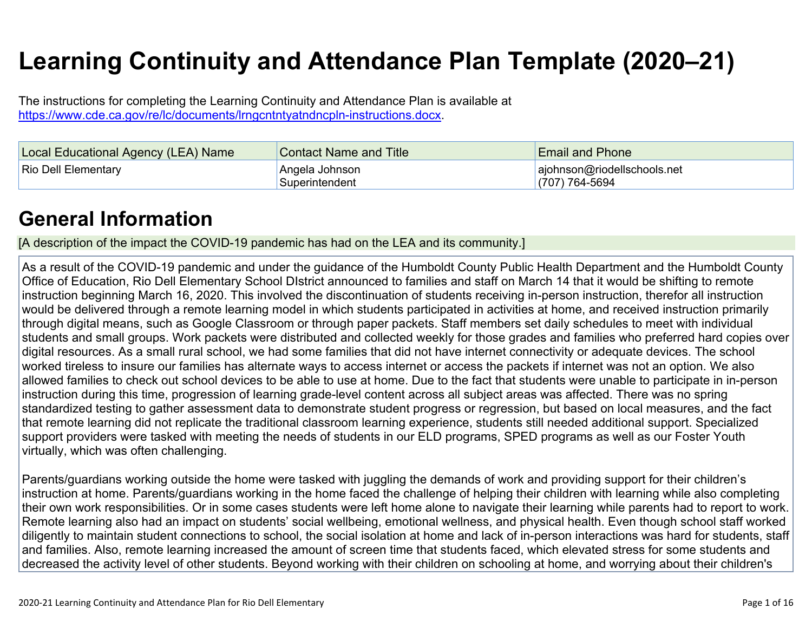# **Learning Continuity and Attendance Plan Template (2020–21)**

The instructions for completing the Learning Continuity and Attendance Plan is available at <https://www.cde.ca.gov/re/lc/documents/lrngcntntyatndncpln-instructions.docx>.

| Local Educational Agency (LEA) Name | <b>Contact Name and Title</b>    | <b>Email and Phone</b>                          |
|-------------------------------------|----------------------------------|-------------------------------------------------|
| <b>Rio Dell Elementary</b>          | Angela Johnson<br>Superintendent | ajohnson@riodellschools.net<br>$(707)$ 764-5694 |

### **General [Information](http://www.doc-tracking.com/screenshots/20LCP/Instructions/20LCPInstructions.htm#generalinformation)**

[A description of the impact the COVID-19 pandemic has had on the LEA and its community.]

As a result of the COVID-19 pandemic and under the guidance of the Humboldt County Public Health Department and the Humboldt County Office of Education, Rio Dell Elementary School DIstrict announced to families and staff on March 14 that it would be shifting to remote instruction beginning March 16, 2020. This involved the discontinuation of students receiving in-person instruction, therefor all instruction would be delivered through a remote learning model in which students participated in activities at home, and received instruction primarily through digital means, such as Google Classroom or through paper packets. Staff members set daily schedules to meet with individual students and small groups. Work packets were distributed and collected weekly for those grades and families who preferred hard copies over digital resources. As a small rural school, we had some families that did not have internet connectivity or adequate devices. The school worked tireless to insure our families has alternate ways to access internet or access the packets if internet was not an option. We also allowed families to check out school devices to be able to use at home. Due to the fact that students were unable to participate in in-person instruction during this time, progression of learning grade-level content across all subject areas was affected. There was no spring standardized testing to gather assessment data to demonstrate student progress or regression, but based on local measures, and the fact that remote learning did not replicate the traditional classroom learning experience, students still needed additional support. Specialized support providers were tasked with meeting the needs of students in our ELD programs, SPED programs as well as our Foster Youth virtually, which was often challenging.

Parents/guardians working outside the home were tasked with juggling the demands of work and providing support for their children's instruction at home. Parents/guardians working in the home faced the challenge of helping their children with learning while also completing their own work responsibilities. Or in some cases students were left home alone to navigate their learning while parents had to report to work. Remote learning also had an impact on students' social wellbeing, emotional wellness, and physical health. Even though school staff worked diligently to maintain student connections to school, the social isolation at home and lack of in-person interactions was hard for students, staff and families. Also, remote learning increased the amount of screen time that students faced, which elevated stress for some students and decreased the activity level of other students. Beyond working with their children on schooling at home, and worrying about their children's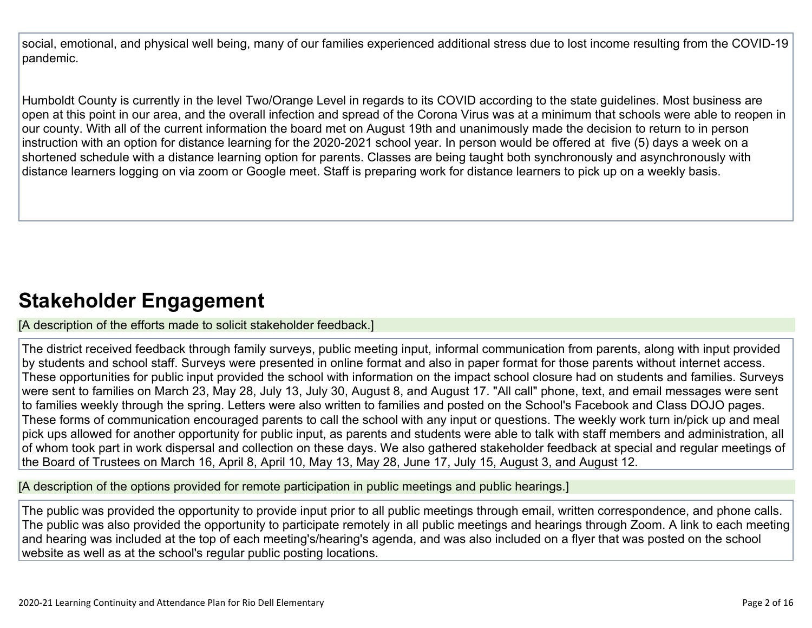social, emotional, and physical well being, many of our families experienced additional stress due to lost income resulting from the COVID-19 pandemic.

Humboldt County is currently in the level Two/Orange Level in regards to its COVID according to the state guidelines. Most business are open at this point in our area, and the overall infection and spread of the Corona Virus was at a minimum that schools were able to reopen in our county. With all of the current information the board met on August 19th and unanimously made the decision to return to in person instruction with an option for distance learning for the 2020-2021 school year. In person would be offered at five (5) days a week on a shortened schedule with a distance learning option for parents. Classes are being taught both synchronously and asynchronously with distance learners logging on via zoom or Google meet. Staff is preparing work for distance learners to pick up on a weekly basis.

## **Stakeholder [Engagement](http://www.doc-tracking.com/screenshots/20LCP/Instructions/20LCPInstructions.htm#stakeholderengagement)**

[A description of the efforts made to solicit stakeholder feedback.]

The district received feedback through family surveys, public meeting input, informal communication from parents, along with input provided by students and school staff. Surveys were presented in online format and also in paper format for those parents without internet access. These opportunities for public input provided the school with information on the impact school closure had on students and families. Surveys were sent to families on March 23, May 28, July 13, July 30, August 8, and August 17. "All call" phone, text, and email messages were sent to families weekly through the spring. Letters were also written to families and posted on the School's Facebook and Class DOJO pages. These forms of communication encouraged parents to call the school with any input or questions. The weekly work turn in/pick up and meal pick ups allowed for another opportunity for public input, as parents and students were able to talk with staff members and administration, all of whom took part in work dispersal and collection on these days. We also gathered stakeholder feedback at special and regular meetings of the Board of Trustees on March 16, April 8, April 10, May 13, May 28, June 17, July 15, August 3, and August 12.

[A description of the options provided for remote participation in public meetings and public hearings.]

The public was provided the opportunity to provide input prior to all public meetings through email, written correspondence, and phone calls. The public was also provided the opportunity to participate remotely in all public meetings and hearings through Zoom. A link to each meeting and hearing was included at the top of each meeting's/hearing's agenda, and was also included on a flyer that was posted on the school website as well as at the school's regular public posting locations.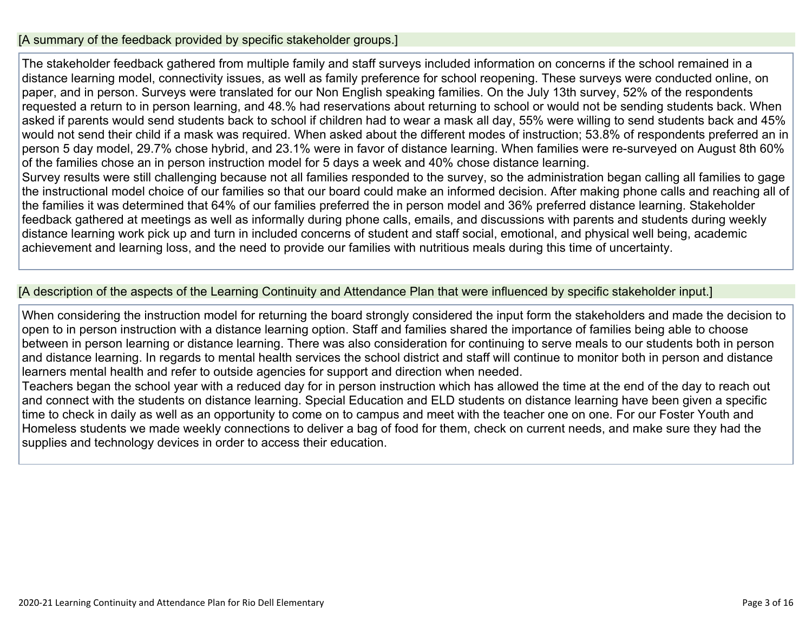#### [A summary of the feedback provided by specific stakeholder groups.]

The stakeholder feedback gathered from multiple family and staff surveys included information on concerns if the school remained in a distance learning model, connectivity issues, as well as family preference for school reopening. These surveys were conducted online, on paper, and in person. Surveys were translated for our Non English speaking families. On the July 13th survey, 52% of the respondents requested a return to in person learning, and 48.% had reservations about returning to school or would not be sending students back. When asked if parents would send students back to school if children had to wear a mask all day, 55% were willing to send students back and 45% would not send their child if a mask was required. When asked about the different modes of instruction; 53.8% of respondents preferred an in person 5 day model, 29.7% chose hybrid, and 23.1% were in favor of distance learning. When families were re-surveyed on August 8th 60% of the families chose an in person instruction model for 5 days a week and 40% chose distance learning.

Survey results were still challenging because not all families responded to the survey, so the administration began calling all families to gage the instructional model choice of our families so that our board could make an informed decision. After making phone calls and reaching all of the families it was determined that 64% of our families preferred the in person model and 36% preferred distance learning. Stakeholder feedback gathered at meetings as well as informally during phone calls, emails, and discussions with parents and students during weekly distance learning work pick up and turn in included concerns of student and staff social, emotional, and physical well being, academic achievement and learning loss, and the need to provide our families with nutritious meals during this time of uncertainty.

#### [A description of the aspects of the Learning Continuity and Attendance Plan that were influenced by specific stakeholder input.]

When considering the instruction model for returning the board strongly considered the input form the stakeholders and made the decision to open to in person instruction with a distance learning option. Staff and families shared the importance of families being able to choose between in person learning or distance learning. There was also consideration for continuing to serve meals to our students both in person and distance learning. In regards to mental health services the school district and staff will continue to monitor both in person and distance learners mental health and refer to outside agencies for support and direction when needed.

Teachers began the school year with a reduced day for in person instruction which has allowed the time at the end of the day to reach out and connect with the students on distance learning. Special Education and ELD students on distance learning have been given a specific time to check in daily as well as an opportunity to come on to campus and meet with the teacher one on one. For our Foster Youth and Homeless students we made weekly connections to deliver a bag of food for them, check on current needs, and make sure they had the supplies and technology devices in order to access their education.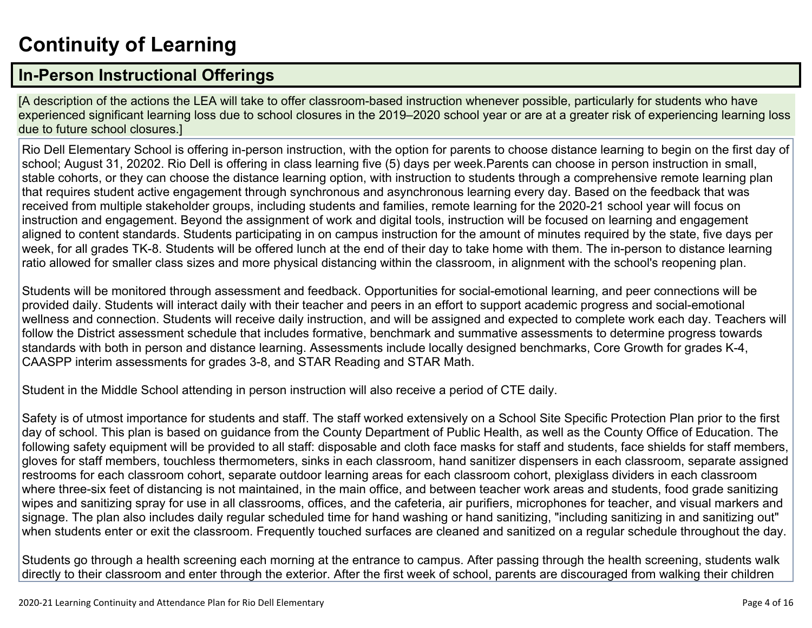## **[Continuity](http://www.doc-tracking.com/screenshots/20LCP/Instructions/20LCPInstructions.htm#ContinuityofLearning) of Learnin[g](http://www.doc-tracking.com/screenshots/20LCP/Instructions/20LCPInstructions.htm#ContinuityofLearning)**

### **In-Person [Instructional](http://www.doc-tracking.com/screenshots/20LCP/Instructions/20LCPInstructions.htm#ContinuityofLearning1) Offerings**

[A description of the actions the LEA will take to offer classroom-based instruction whenever possible, particularly for students who have experienced significant learning loss due to school closures in the 2019–2020 school year or are at a greater risk of experiencing learning loss due to future school closures.]

Rio Dell Elementary School is offering in-person instruction, with the option for parents to choose distance learning to begin on the first day of school; August 31, 20202. Rio Dell is offering in class learning five (5) days per week.Parents can choose in person instruction in small, stable cohorts, or they can choose the distance learning option, with instruction to students through a comprehensive remote learning plan that requires student active engagement through synchronous and asynchronous learning every day. Based on the feedback that was received from multiple stakeholder groups, including students and families, remote learning for the 2020-21 school year will focus on instruction and engagement. Beyond the assignment of work and digital tools, instruction will be focused on learning and engagement aligned to content standards. Students participating in on campus instruction for the amount of minutes required by the state, five days per week, for all grades TK-8. Students will be offered lunch at the end of their day to take home with them. The in-person to distance learning ratio allowed for smaller class sizes and more physical distancing within the classroom, in alignment with the school's reopening plan.

Students will be monitored through assessment and feedback. Opportunities for social-emotional learning, and peer connections will be provided daily. Students will interact daily with their teacher and peers in an effort to support academic progress and social-emotional wellness and connection. Students will receive daily instruction, and will be assigned and expected to complete work each day. Teachers will follow the District assessment schedule that includes formative, benchmark and summative assessments to determine progress towards standards with both in person and distance learning. Assessments include locally designed benchmarks, Core Growth for grades K-4, CAASPP interim assessments for grades 3-8, and STAR Reading and STAR Math.

Student in the Middle School attending in person instruction will also receive a period of CTE daily.

Safety is of utmost importance for students and staff. The staff worked extensively on a School Site Specific Protection Plan prior to the first day of school. This plan is based on guidance from the County Department of Public Health, as well as the County Office of Education. The following safety equipment will be provided to all staff: disposable and cloth face masks for staff and students, face shields for staff members, gloves for staff members, touchless thermometers, sinks in each classroom, hand sanitizer dispensers in each classroom, separate assigned restrooms for each classroom cohort, separate outdoor learning areas for each classroom cohort, plexiglass dividers in each classroom where three-six feet of distancing is not maintained, in the main office, and between teacher work areas and students, food grade sanitizing wipes and sanitizing spray for use in all classrooms, offices, and the cafeteria, air purifiers, microphones for teacher, and visual markers and signage. The plan also includes daily regular scheduled time for hand washing or hand sanitizing, "including sanitizing in and sanitizing out" when students enter or exit the classroom. Frequently touched surfaces are cleaned and sanitized on a regular schedule throughout the day.

Students go through a health screening each morning at the entrance to campus. After passing through the health screening, students walk directly to their classroom and enter through the exterior. After the first week of school, parents are discouraged from walking their children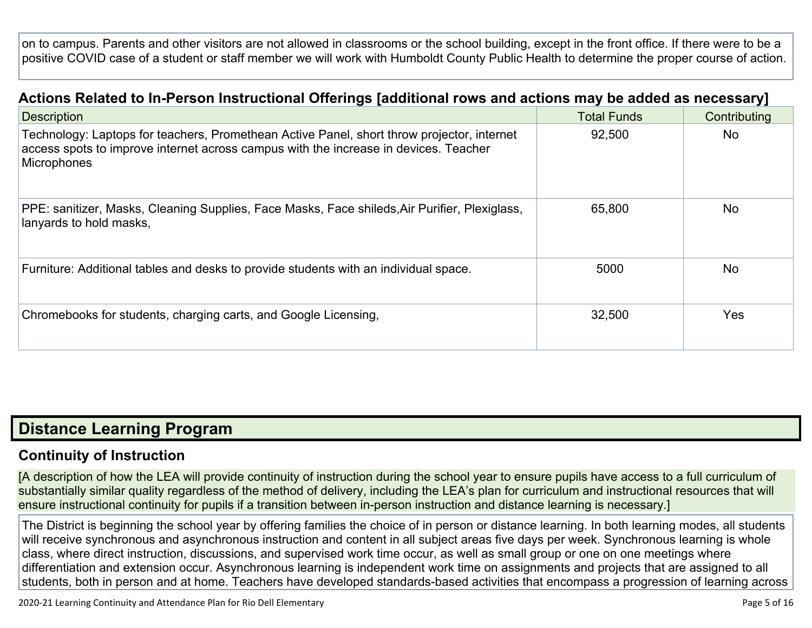on to campus. Parents and other visitors are not allowed in classrooms or the school building, except in the front office. If there were to be a positive COVID case of a student or staff member we will work with Humboldt County Public Health to determine the proper course of action.

#### **Actions Related to In-Person [Instructional](http://www.doc-tracking.com/screenshots/20LCP/Instructions/20LCPInstructions.htm#ContinuityofLearning2) Offerings [additional rows and actions may be added as necessary]**

| <b>Description</b>                                                                                                                                                                                | <b>Total Funds</b> | Contributing |
|---------------------------------------------------------------------------------------------------------------------------------------------------------------------------------------------------|--------------------|--------------|
| Technology: Laptops for teachers, Promethean Active Panel, short throw projector, internet<br>access spots to improve internet across campus with the increase in devices. Teacher<br>Microphones | 92,500             | No.          |
| PPE: sanitizer, Masks, Cleaning Supplies, Face Masks, Face shileds, Air Purifier, Plexiglass,<br>lanyards to hold masks,                                                                          | 65,800             | <b>No</b>    |
| Furniture: Additional tables and desks to provide students with an individual space.                                                                                                              | 5000               | <b>No</b>    |
| Chromebooks for students, charging carts, and Google Licensing,                                                                                                                                   | 32,500             | <b>Yes</b>   |

### **Distance [Learning](http://www.doc-tracking.com/screenshots/20LCP/Instructions/20LCPInstructions.htm#DistanceLearningProgram) Program**

#### **Continuity of [Instruction](http://www.doc-tracking.com/screenshots/20LCP/Instructions/20LCPInstructions.htm#DistanceLearningProgram1)**

[A description of how the LEA will provide continuity of instruction during the school year to ensure pupils have access to a full curriculum of substantially similar quality regardless of the method of delivery, including the LEA's plan for curriculum and instructional resources that will ensure instructional continuity for pupils if a transition between in-person instruction and distance learning is necessary.]

The District is beginning the school year by offering families the choice of in person or distance learning. In both learning modes, all students will receive synchronous and asynchronous instruction and content in all subject areas five days per week. Synchronous learning is whole class, where direct instruction, discussions, and supervised work time occur, as well as small group or one on one meetings where differentiation and extension occur. Asynchronous learning is independent work time on assignments and projects that are assigned to all students, both in person and at home. Teachers have developed standards-based activities that encompass a progression of learning across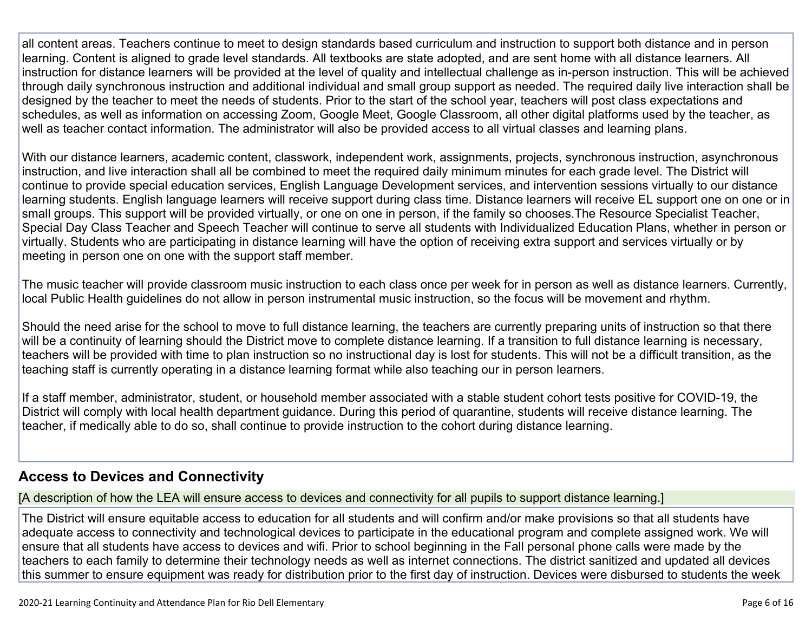all content areas. Teachers continue to meet to design standards based curriculum and instruction to support both distance and in person learning. Content is aligned to grade level standards. All textbooks are state adopted, and are sent home with all distance learners. All instruction for distance learners will be provided at the level of quality and intellectual challenge as in-person instruction. This will be achieved through daily synchronous instruction and additional individual and small group support as needed. The required daily live interaction shall be designed by the teacher to meet the needs of students. Prior to the start of the school year, teachers will post class expectations and schedules, as well as information on accessing Zoom, Google Meet, Google Classroom, all other digital platforms used by the teacher, as well as teacher contact information. The administrator will also be provided access to all virtual classes and learning plans.

With our distance learners, academic content, classwork, independent work, assignments, projects, synchronous instruction, asynchronous instruction, and live interaction shall all be combined to meet the required daily minimum minutes for each grade level. The District will continue to provide special education services, English Language Development services, and intervention sessions virtually to our distance learning students. English language learners will receive support during class time. Distance learners will receive EL support one on one or in small groups. This support will be provided virtually, or one on one in person, if the family so chooses.The Resource Specialist Teacher, Special Day Class Teacher and Speech Teacher will continue to serve all students with Individualized Education Plans, whether in person or virtually. Students who are participating in distance learning will have the option of receiving extra support and services virtually or by meeting in person one on one with the support staff member.

The music teacher will provide classroom music instruction to each class once per week for in person as well as distance learners. Currently, local Public Health guidelines do not allow in person instrumental music instruction, so the focus will be movement and rhythm.

Should the need arise for the school to move to full distance learning, the teachers are currently preparing units of instruction so that there will be a continuity of learning should the District move to complete distance learning. If a transition to full distance learning is necessary, teachers will be provided with time to plan instruction so no instructional day is lost for students. This will not be a difficult transition, as the teaching staff is currently operating in a distance learning format while also teaching our in person learners.

If a staff member, administrator, student, or household member associated with a stable student cohort tests positive for COVID-19, the District will comply with local health department guidance. During this period of quarantine, students will receive distance learning. The teacher, if medically able to do so, shall continue to provide instruction to the cohort during distance learning.

#### **Access to Devices and [Connectivity](http://www.doc-tracking.com/screenshots/20LCP/Instructions/20LCPInstructions.htm#DistanceLearningProgram2)**

[A description of how the LEA will ensure access to devices and connectivity for all pupils to support distance learning.]

The District will ensure equitable access to education for all students and will confirm and/or make provisions so that all students have adequate access to connectivity and technological devices to participate in the educational program and complete assigned work. We will ensure that all students have access to devices and wifi. Prior to school beginning in the Fall personal phone calls were made by the teachers to each family to determine their technology needs as well as internet connections. The district sanitized and updated all devices this summer to ensure equipment was ready for distribution prior to the first day of instruction. Devices were disbursed to students the week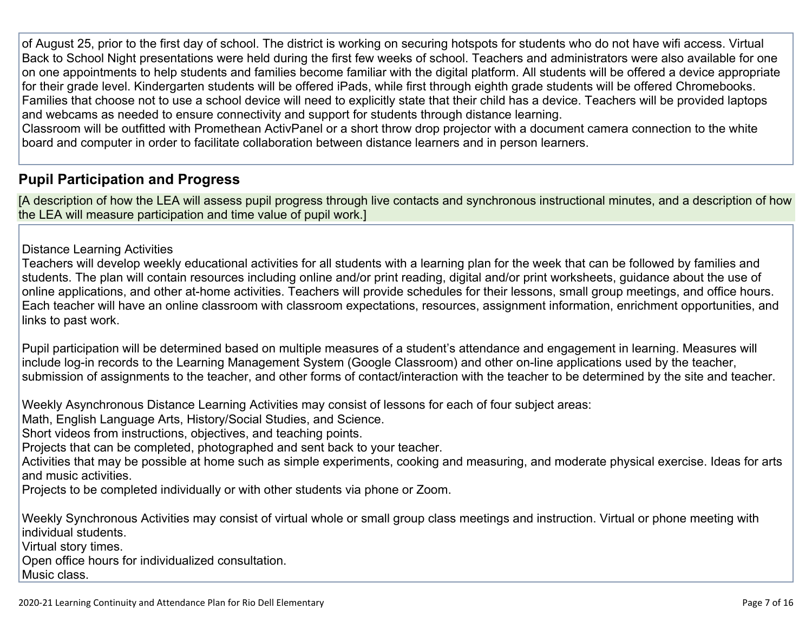of August 25, prior to the first day of school. The district is working on securing hotspots for students who do not have wifi access. Virtual Back to School Night presentations were held during the first few weeks of school. Teachers and administrators were also available for one on one appointments to help students and families become familiar with the digital platform. All students will be offered a device appropriate for their grade level. Kindergarten students will be offered iPads, while first through eighth grade students will be offered Chromebooks. Families that choose not to use a school device will need to explicitly state that their child has a device. Teachers will be provided laptops and webcams as needed to ensure connectivity and support for students through distance learning.

Classroom will be outfitted with Promethean ActivPanel or a short throw drop projector with a document camera connection to the white board and computer in order to facilitate collaboration between distance learners and in person learners.

### **Pupil [Participation](http://www.doc-tracking.com/screenshots/20LCP/Instructions/20LCPInstructions.htm#DistanceLearningProgram3) and Progress**

[A description of how the LEA will assess pupil progress through live contacts and synchronous instructional minutes, and a description of how the LEA will measure participation and time value of pupil work.]

#### Distance Learning Activities

Teachers will develop weekly educational activities for all students with a learning plan for the week that can be followed by families and students. The plan will contain resources including online and/or print reading, digital and/or print worksheets, guidance about the use of online applications, and other at-home activities. Teachers will provide schedules for their lessons, small group meetings, and office hours. Each teacher will have an online classroom with classroom expectations, resources, assignment information, enrichment opportunities, and links to past work.

Pupil participation will be determined based on multiple measures of a student's attendance and engagement in learning. Measures will include log-in records to the Learning Management System (Google Classroom) and other on-line applications used by the teacher, submission of assignments to the teacher, and other forms of contact/interaction with the teacher to be determined by the site and teacher.

Weekly Asynchronous Distance Learning Activities may consist of lessons for each of four subject areas:

Math, English Language Arts, History/Social Studies, and Science.

Short videos from instructions, objectives, and teaching points.

Projects that can be completed, photographed and sent back to your teacher.

Activities that may be possible at home such as simple experiments, cooking and measuring, and moderate physical exercise. Ideas for arts and music activities.

Projects to be completed individually or with other students via phone or Zoom.

Weekly Synchronous Activities may consist of virtual whole or small group class meetings and instruction. Virtual or phone meeting with individual students.

Virtual story times.

Open office hours for individualized consultation.

Music class.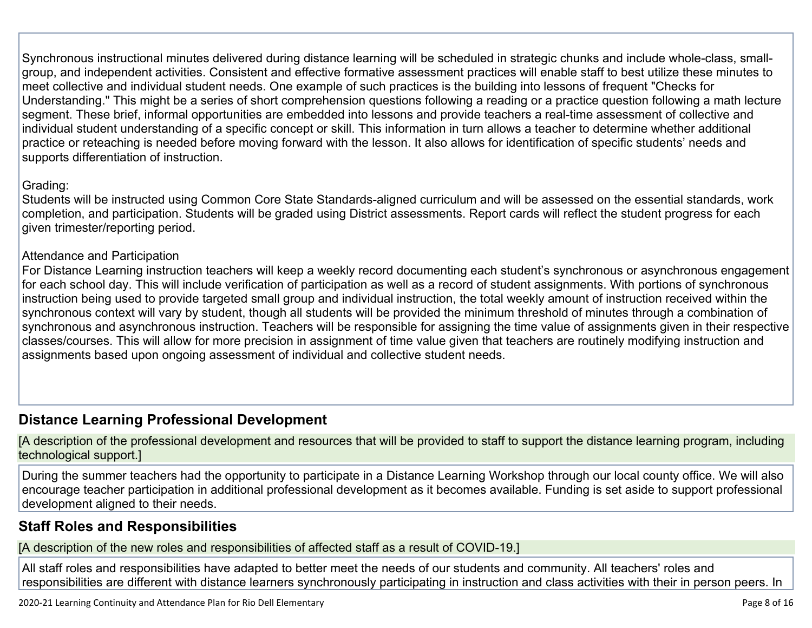Synchronous instructional minutes delivered during distance learning will be scheduled in strategic chunks and include whole-class, smallgroup, and independent activities. Consistent and effective formative assessment practices will enable staff to best utilize these minutes to meet collective and individual student needs. One example of such practices is the building into lessons of frequent "Checks for Understanding." This might be a series of short comprehension questions following a reading or a practice question following a math lecture segment. These brief, informal opportunities are embedded into lessons and provide teachers a real-time assessment of collective and individual student understanding of a specific concept or skill. This information in turn allows a teacher to determine whether additional practice or reteaching is needed before moving forward with the lesson. It also allows for identification of specific students' needs and supports differentiation of instruction.

#### Grading:

Students will be instructed using Common Core State Standards-aligned curriculum and will be assessed on the essential standards, work completion, and participation. Students will be graded using District assessments. Report cards will reflect the student progress for each given trimester/reporting period.

#### Attendance and Participation

For Distance Learning instruction teachers will keep a weekly record documenting each student's synchronous or asynchronous engagement for each school day. This will include verification of participation as well as a record of student assignments. With portions of synchronous instruction being used to provide targeted small group and individual instruction, the total weekly amount of instruction received within the synchronous context will vary by student, though all students will be provided the minimum threshold of minutes through a combination of synchronous and asynchronous instruction. Teachers will be responsible for assigning the time value of assignments given in their respective classes/courses. This will allow for more precision in assignment of time value given that teachers are routinely modifying instruction and assignments based upon ongoing assessment of individual and collective student needs.

### **Distance Learning Professional [Development](http://www.doc-tracking.com/screenshots/20LCP/Instructions/20LCPInstructions.htm#DistanceLearningProgram4)**

[A description of the professional development and resources that will be provided to staff to support the distance learning program, including technological support.]

During the summer teachers had the opportunity to participate in a Distance Learning Workshop through our local county office. We will also encourage teacher participation in additional professional development as it becomes available. Funding is set aside to support professional development aligned to their needs.

#### **Staff Roles and [Responsibilities](http://www.doc-tracking.com/screenshots/20LCP/Instructions/20LCPInstructions.htm#DistanceLearningProgram5)**

[A description of the new roles and responsibilities of affected staff as a result of COVID-19.]

All staff roles and responsibilities have adapted to better meet the needs of our students and community. All teachers' roles and responsibilities are different with distance learners synchronously participating in instruction and class activities with their in person peers. In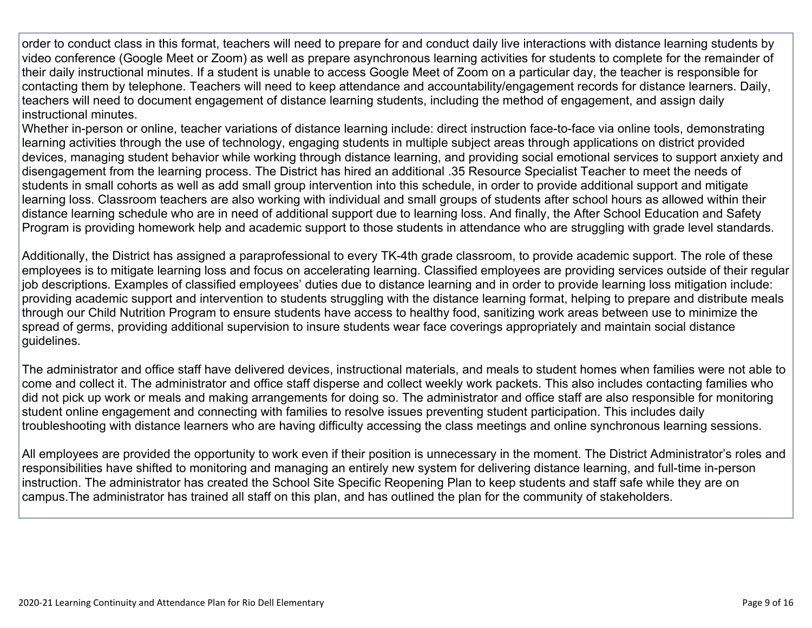order to conduct class in this format, teachers will need to prepare for and conduct daily live interactions with distance learning students by video conference (Google Meet or Zoom) as well as prepare asynchronous learning activities for students to complete for the remainder of their daily instructional minutes. If a student is unable to access Google Meet of Zoom on a particular day, the teacher is responsible for contacting them by telephone. Teachers will need to keep attendance and accountability/engagement records for distance learners. Daily, teachers will need to document engagement of distance learning students, including the method of engagement, and assign daily instructional minutes.

Whether in-person or online, teacher variations of distance learning include: direct instruction face-to-face via online tools, demonstrating learning activities through the use of technology, engaging students in multiple subject areas through applications on district provided devices, managing student behavior while working through distance learning, and providing social emotional services to support anxiety and disengagement from the learning process. The District has hired an additional .35 Resource Specialist Teacher to meet the needs of students in small cohorts as well as add small group intervention into this schedule, in order to provide additional support and mitigate learning loss. Classroom teachers are also working with individual and small groups of students after school hours as allowed within their distance learning schedule who are in need of additional support due to learning loss. And finally, the After School Education and Safety Program is providing homework help and academic support to those students in attendance who are struggling with grade level standards.

Additionally, the District has assigned a paraprofessional to every TK-4th grade classroom, to provide academic support. The role of these employees is to mitigate learning loss and focus on accelerating learning. Classified employees are providing services outside of their regular job descriptions. Examples of classified employees' duties due to distance learning and in order to provide learning loss mitigation include: providing academic support and intervention to students struggling with the distance learning format, helping to prepare and distribute meals through our Child Nutrition Program to ensure students have access to healthy food, sanitizing work areas between use to minimize the spread of germs, providing additional supervision to insure students wear face coverings appropriately and maintain social distance guidelines.

The administrator and office staff have delivered devices, instructional materials, and meals to student homes when families were not able to come and collect it. The administrator and office staff disperse and collect weekly work packets. This also includes contacting families who did not pick up work or meals and making arrangements for doing so. The administrator and office staff are also responsible for monitoring student online engagement and connecting with families to resolve issues preventing student participation. This includes daily troubleshooting with distance learners who are having difficulty accessing the class meetings and online synchronous learning sessions.

All employees are provided the opportunity to work even if their position is unnecessary in the moment. The District Administrator's roles and responsibilities have shifted to monitoring and managing an entirely new system for delivering distance learning, and full-time in-person instruction. The administrator has created the School Site Specific Reopening Plan to keep students and staff safe while they are on campus.The administrator has trained all staff on this plan, and has outlined the plan for the community of stakeholders.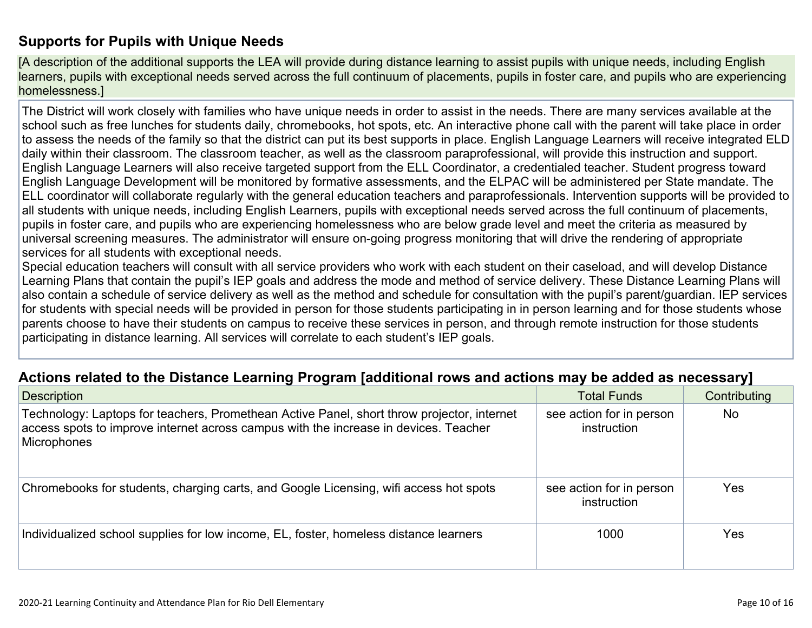### **[Supports](http://www.doc-tracking.com/screenshots/20LCP/Instructions/20LCPInstructions.htm#DistanceLearningProgram6) for Pupils with Unique Needs**

[A description of the additional supports the LEA will provide during distance learning to assist pupils with unique needs, including English learners, pupils with exceptional needs served across the full continuum of placements, pupils in foster care, and pupils who are experiencing homelessness.]

The District will work closely with families who have unique needs in order to assist in the needs. There are many services available at the school such as free lunches for students daily, chromebooks, hot spots, etc. An interactive phone call with the parent will take place in order to assess the needs of the family so that the district can put its best supports in place. English Language Learners will receive integrated ELD daily within their classroom. The classroom teacher, as well as the classroom paraprofessional, will provide this instruction and support. English Language Learners will also receive targeted support from the ELL Coordinator, a credentialed teacher. Student progress toward English Language Development will be monitored by formative assessments, and the ELPAC will be administered per State mandate. The ELL coordinator will collaborate regularly with the general education teachers and paraprofessionals. Intervention supports will be provided to all students with unique needs, including English Learners, pupils with exceptional needs served across the full continuum of placements, pupils in foster care, and pupils who are experiencing homelessness who are below grade level and meet the criteria as measured by universal screening measures. The administrator will ensure on-going progress monitoring that will drive the rendering of appropriate services for all students with exceptional needs.

Special education teachers will consult with all service providers who work with each student on their caseload, and will develop Distance Learning Plans that contain the pupil's IEP goals and address the mode and method of service delivery. These Distance Learning Plans will also contain a schedule of service delivery as well as the method and schedule for consultation with the pupil's parent/guardian. IEP services for students with special needs will be provided in person for those students participating in in person learning and for those students whose parents choose to have their students on campus to receive these services in person, and through remote instruction for those students participating in distance learning. All services will correlate to each student's IEP goals.

#### **Actions related to the Distance Learning Program [additional rows and actions may be added as [necessary\]](http://www.doc-tracking.com/screenshots/20LCP/Instructions/20LCPInstructions.htm#DistanceLearningProgram7)**

| <b>Description</b>                                                                                                                                                                                       | <b>Total Funds</b>                      | Contributing |
|----------------------------------------------------------------------------------------------------------------------------------------------------------------------------------------------------------|-----------------------------------------|--------------|
| Technology: Laptops for teachers, Promethean Active Panel, short throw projector, internet<br>access spots to improve internet across campus with the increase in devices. Teacher<br><b>Microphones</b> | see action for in person<br>instruction | No           |
| Chromebooks for students, charging carts, and Google Licensing, wifi access hot spots                                                                                                                    | see action for in person<br>instruction | <b>Yes</b>   |
| Individualized school supplies for low income, EL, foster, homeless distance learners                                                                                                                    | 1000                                    | <b>Yes</b>   |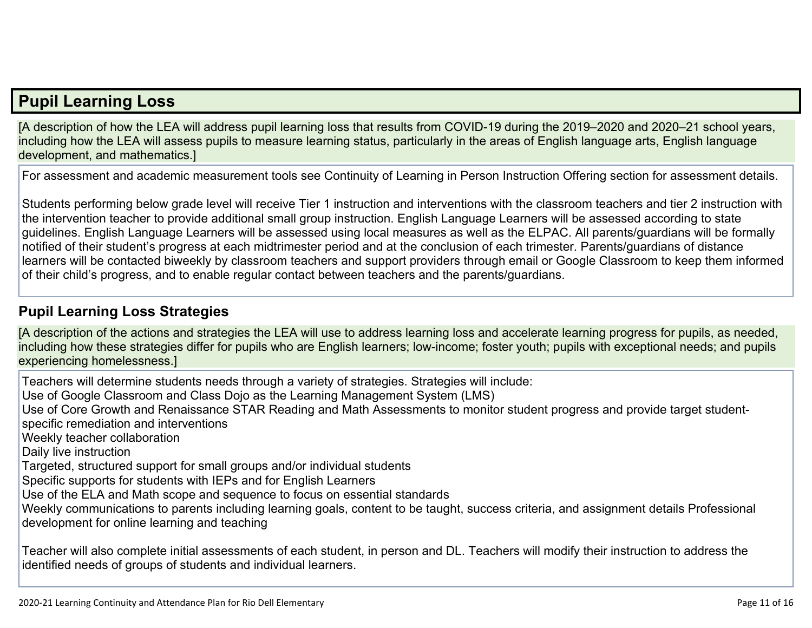### **Pupil [Learning](http://www.doc-tracking.com/screenshots/20LCP/Instructions/20LCPInstructions.htm#PupilLearningLoss) Loss**

[A description of how the LEA will address pupil learning loss that results from COVID-19 during the 2019–2020 and 2020–21 school years, including how the LEA will assess pupils to measure learning status, particularly in the areas of English language arts, English language development, and mathematics.]

For assessment and academic measurement tools see Continuity of Learning in Person Instruction Offering section for assessment details.

Students performing below grade level will receive Tier 1 instruction and interventions with the classroom teachers and tier 2 instruction with the intervention teacher to provide additional small group instruction. English Language Learners will be assessed according to state guidelines. English Language Learners will be assessed using local measures as well as the ELPAC. All parents/guardians will be formally notified of their student's progress at each midtrimester period and at the conclusion of each trimester. Parents/guardians of distance learners will be contacted biweekly by classroom teachers and support providers through email or Google Classroom to keep them informed of their child's progress, and to enable regular contact between teachers and the parents/guardians.

#### **Pupil Learning Loss [Strategies](http://www.doc-tracking.com/screenshots/20LCP/Instructions/20LCPInstructions.htm#PupilLearningLoss1)**

[A description of the actions and strategies the LEA will use to address learning loss and accelerate learning progress for pupils, as needed, including how these strategies differ for pupils who are English learners; low-income; foster youth; pupils with exceptional needs; and pupils experiencing homelessness.]

Teachers will determine students needs through a variety of strategies. Strategies will include: Use of Google Classroom and Class Dojo as the Learning Management System (LMS) Use of Core Growth and Renaissance STAR Reading and Math Assessments to monitor student progress and provide target studentspecific remediation and interventions Weekly teacher collaboration Daily live instruction Targeted, structured support for small groups and/or individual students Specific supports for students with IEPs and for English Learners Use of the ELA and Math scope and sequence to focus on essential standards Weekly communications to parents including learning goals, content to be taught, success criteria, and assignment details Professional development for online learning and teaching

Teacher will also complete initial assessments of each student, in person and DL. Teachers will modify their instruction to address the identified needs of groups of students and individual learners.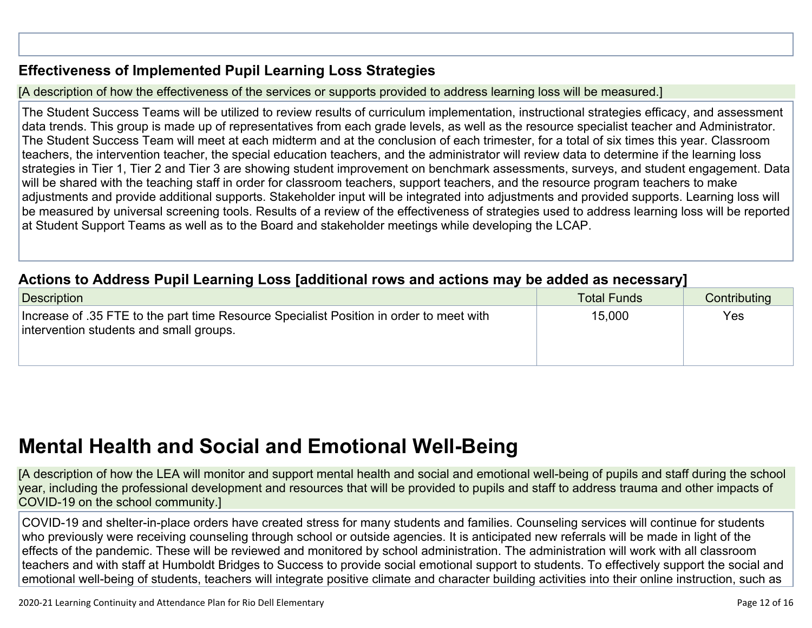#### **[Effectiveness](http://www.doc-tracking.com/screenshots/20LCP/Instructions/20LCPInstructions.htm#PupilLearningLoss2) of Implemented Pupil Learning Loss Strategies**

[A description of how the effectiveness of the services or supports provided to address learning loss will be measured.]

The Student Success Teams will be utilized to review results of curriculum implementation, instructional strategies efficacy, and assessment data trends. This group is made up of representatives from each grade levels, as well as the resource specialist teacher and Administrator. The Student Success Team will meet at each midterm and at the conclusion of each trimester, for a total of six times this year. Classroom teachers, the intervention teacher, the special education teachers, and the administrator will review data to determine if the learning loss strategies in Tier 1, Tier 2 and Tier 3 are showing student improvement on benchmark assessments, surveys, and student engagement. Data will be shared with the teaching staff in order for classroom teachers, support teachers, and the resource program teachers to make adjustments and provide additional supports. Stakeholder input will be integrated into adjustments and provided supports. Learning loss will be measured by universal screening tools. Results of a review of the effectiveness of strategies used to address learning loss will be reported at Student Support Teams as well as to the Board and stakeholder meetings while developing the LCAP.

#### **Actions to Address Pupil Learning Loss [additional rows and actions may be added as [necessary\]](http://www.doc-tracking.com/screenshots/20LCP/Instructions/20LCPInstructions.htm#PupilLearningLoss4)**

| Description                                                                                                                        | Total Funds | Contributing |
|------------------------------------------------------------------------------------------------------------------------------------|-------------|--------------|
| Increase of .35 FTE to the part time Resource Specialist Position in order to meet with<br>intervention students and small groups. | 15,000      | Yes          |

## **Mental Health and Social and Emotional [Well-Being](http://www.doc-tracking.com/screenshots/20LCP/Instructions/20LCPInstructions.htm#MentalHealthandSocialandEmotional)**

[A description of how the LEA will monitor and support mental health and social and emotional well-being of pupils and staff during the school year, including the professional development and resources that will be provided to pupils and staff to address trauma and other impacts of COVID-19 on the school community.]

COVID-19 and shelter-in-place orders have created stress for many students and families. Counseling services will continue for students who previously were receiving counseling through school or outside agencies. It is anticipated new referrals will be made in light of the effects of the pandemic. These will be reviewed and monitored by school administration. The administration will work with all classroom teachers and with staff at Humboldt Bridges to Success to provide social emotional support to students. To effectively support the social and emotional well-being of students, teachers will integrate positive climate and character building activities into their online instruction, such as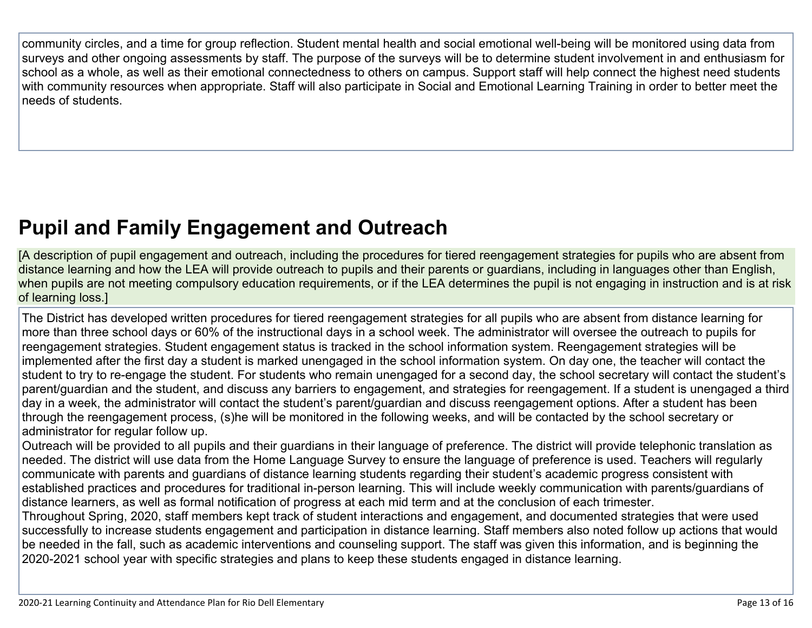community circles, and a time for group reflection. Student mental health and social emotional well-being will be monitored using data from surveys and other ongoing assessments by staff. The purpose of the surveys will be to determine student involvement in and enthusiasm for school as a whole, as well as their emotional connectedness to others on campus. Support staff will help connect the highest need students with community resources when appropriate. Staff will also participate in Social and Emotional Learning Training in order to better meet the needs of students.

## **Pupil and Family [Engagement](http://www.doc-tracking.com/screenshots/20LCP/Instructions/20LCPInstructions.htm#PupilEngagementandOutreach) and Outreach**

[A description of pupil engagement and outreach, including the procedures for tiered reengagement strategies for pupils who are absent from distance learning and how the LEA will provide outreach to pupils and their parents or guardians, including in languages other than English, when pupils are not meeting compulsory education requirements, or if the LEA determines the pupil is not engaging in instruction and is at risk of learning loss.]

The District has developed written procedures for tiered reengagement strategies for all pupils who are absent from distance learning for more than three school days or 60% of the instructional days in a school week. The administrator will oversee the outreach to pupils for reengagement strategies. Student engagement status is tracked in the school information system. Reengagement strategies will be implemented after the first day a student is marked unengaged in the school information system. On day one, the teacher will contact the student to try to re-engage the student. For students who remain unengaged for a second day, the school secretary will contact the student's parent/guardian and the student, and discuss any barriers to engagement, and strategies for reengagement. If a student is unengaged a third day in a week, the administrator will contact the student's parent/guardian and discuss reengagement options. After a student has been through the reengagement process, (s)he will be monitored in the following weeks, and will be contacted by the school secretary or administrator for regular follow up.

Outreach will be provided to all pupils and their guardians in their language of preference. The district will provide telephonic translation as needed. The district will use data from the Home Language Survey to ensure the language of preference is used. Teachers will regularly communicate with parents and guardians of distance learning students regarding their student's academic progress consistent with established practices and procedures for traditional in-person learning. This will include weekly communication with parents/guardians of distance learners, as well as formal notification of progress at each mid term and at the conclusion of each trimester.

Throughout Spring, 2020, staff members kept track of student interactions and engagement, and documented strategies that were used successfully to increase students engagement and participation in distance learning. Staff members also noted follow up actions that would be needed in the fall, such as academic interventions and counseling support. The staff was given this information, and is beginning the 2020-2021 school year with specific strategies and plans to keep these students engaged in distance learning.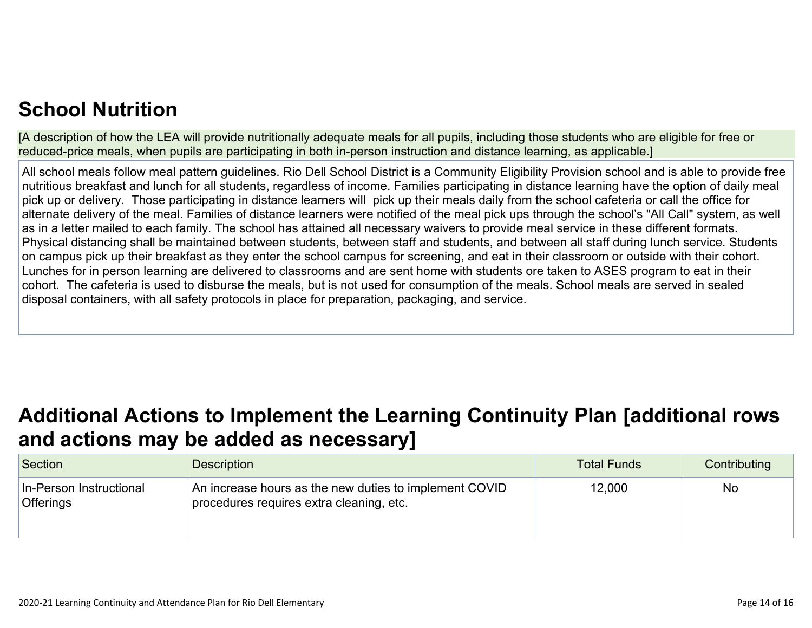## **School [Nutrition](http://www.doc-tracking.com/screenshots/20LCP/Instructions/20LCPInstructions.htm#SchoolNutrition)**

[A description of how the LEA will provide nutritionally adequate meals for all pupils, including those students who are eligible for free or reduced-price meals, when pupils are participating in both in-person instruction and distance learning, as applicable.]

All school meals follow meal pattern guidelines. Rio Dell School District is a Community Eligibility Provision school and is able to provide free nutritious breakfast and lunch for all students, regardless of income. Families participating in distance learning have the option of daily meal pick up or delivery. Those participating in distance learners will pick up their meals daily from the school cafeteria or call the office for alternate delivery of the meal. Families of distance learners were notified of the meal pick ups through the school's "All Call" system, as well as in a letter mailed to each family. The school has attained all necessary waivers to provide meal service in these different formats. Physical distancing shall be maintained between students, between staff and students, and between all staff during lunch service. Students on campus pick up their breakfast as they enter the school campus for screening, and eat in their classroom or outside with their cohort. Lunches for in person learning are delivered to classrooms and are sent home with students ore taken to ASES program to eat in their cohort. The cafeteria is used to disburse the meals, but is not used for consumption of the meals. School meals are served in sealed disposal containers, with all safety protocols in place for preparation, packaging, and service.

### **Additional Actions to Implement the Learning Continuity Plan [\[additional](http://www.doc-tracking.com/screenshots/20LCP/Instructions/20LCPInstructions.htm#AdditionalActions) rows and actions may be added as [necessary\]](http://www.doc-tracking.com/screenshots/20LCP/Instructions/20LCPInstructions.htm#AdditionalActions)**

| Section                                     | Description                                                                                        | <b>Total Funds</b> | Contributing |
|---------------------------------------------|----------------------------------------------------------------------------------------------------|--------------------|--------------|
| In-Person Instructional<br><b>Offerings</b> | An increase hours as the new duties to implement COVID<br>procedures requires extra cleaning, etc. | 12,000             | <b>No</b>    |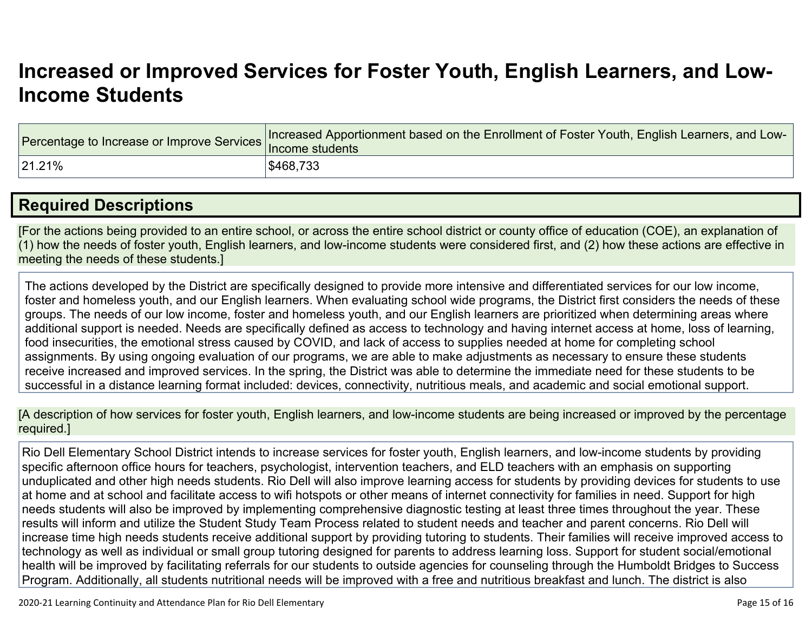## **[Increased](http://www.doc-tracking.com/screenshots/20LCP/Instructions/20LCPInstructions.htm#IncreasedorImprovedServices) or Improved Services for Foster Youth, English Learners, and Low-Income [Students](http://www.doc-tracking.com/screenshots/20LCP/Instructions/20LCPInstructions.htm#IncreasedorImprovedServices)**

|            | Percentage to Increase or Improve Services Increased Apportionment based on the Enrollment of Foster Youth, English Learners, and Low<br>Income students |
|------------|----------------------------------------------------------------------------------------------------------------------------------------------------------|
| $ 21.21\%$ | \$468,733                                                                                                                                                |

### **Required [Descriptions](http://www.doc-tracking.com/screenshots/20LCP/Instructions/20LCPInstructions.htm#RequiredDescriptions)**

[For the actions being provided to an entire school, or across the entire school district or county office of education (COE), an explanation of (1) how the needs of foster youth, English learners, and low-income students were considered first, and (2) how these actions are effective in meeting the needs of these students.]

The actions developed by the District are specifically designed to provide more intensive and differentiated services for our low income, foster and homeless youth, and our English learners. When evaluating school wide programs, the District first considers the needs of these groups. The needs of our low income, foster and homeless youth, and our English learners are prioritized when determining areas where additional support is needed. Needs are specifically defined as access to technology and having internet access at home, loss of learning, food insecurities, the emotional stress caused by COVID, and lack of access to supplies needed at home for completing school assignments. By using ongoing evaluation of our programs, we are able to make adjustments as necessary to ensure these students receive increased and improved services. In the spring, the District was able to determine the immediate need for these students to be successful in a distance learning format included: devices, connectivity, nutritious meals, and academic and social emotional support.

[A description of how services for foster youth, English learners, and low-income students are being increased or improved by the percentage required.]

Rio Dell Elementary School District intends to increase services for foster youth, English learners, and low-income students by providing specific afternoon office hours for teachers, psychologist, intervention teachers, and ELD teachers with an emphasis on supporting unduplicated and other high needs students. Rio Dell will also improve learning access for students by providing devices for students to use at home and at school and facilitate access to wifi hotspots or other means of internet connectivity for families in need. Support for high needs students will also be improved by implementing comprehensive diagnostic testing at least three times throughout the year. These results will inform and utilize the Student Study Team Process related to student needs and teacher and parent concerns. Rio Dell will increase time high needs students receive additional support by providing tutoring to students. Their families will receive improved access to technology as well as individual or small group tutoring designed for parents to address learning loss. Support for student social/emotional health will be improved by facilitating referrals for our students to outside agencies for counseling through the Humboldt Bridges to Success Program. Additionally, all students nutritional needs will be improved with a free and nutritious breakfast and lunch. The district is also